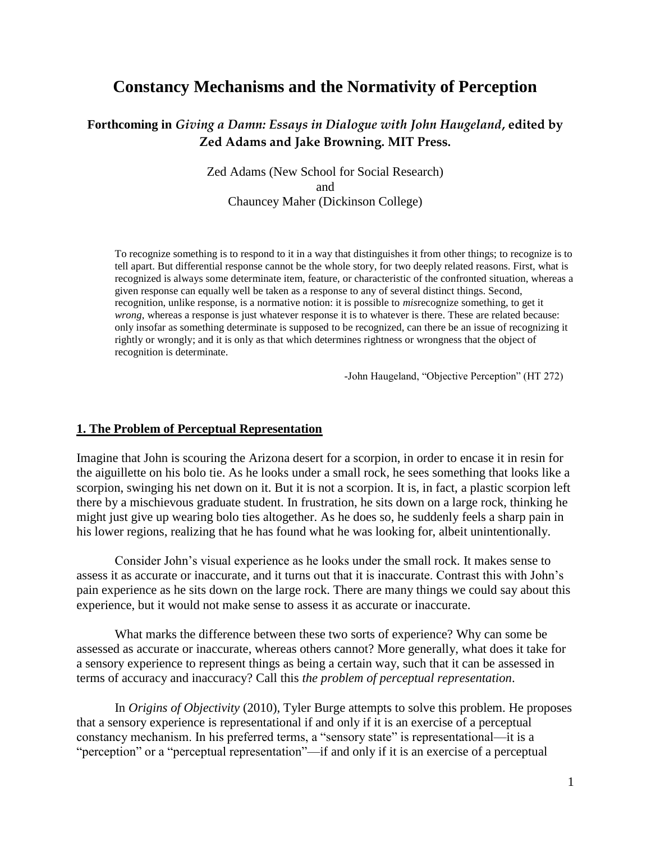# **Constancy Mechanisms and the Normativity of Perception**

# **Forthcoming in** *Giving a Damn: Essays in Dialogue with John Haugeland***, edited by Zed Adams and Jake Browning. MIT Press.**

Zed Adams (New School for Social Research) and Chauncey Maher (Dickinson College)

To recognize something is to respond to it in a way that distinguishes it from other things; to recognize is to tell apart. But differential response cannot be the whole story, for two deeply related reasons. First, what is recognized is always some determinate item, feature, or characteristic of the confronted situation, whereas a given response can equally well be taken as a response to any of several distinct things. Second, recognition, unlike response, is a normative notion: it is possible to *mis*recognize something, to get it *wrong*, whereas a response is just whatever response it is to whatever is there. These are related because: only insofar as something determinate is supposed to be recognized, can there be an issue of recognizing it rightly or wrongly; and it is only as that which determines rightness or wrongness that the object of recognition is determinate.

-John Haugeland, "Objective Perception" (HT 272)

#### **1. The Problem of Perceptual Representation**

Imagine that John is scouring the Arizona desert for a scorpion, in order to encase it in resin for the aiguillette on his bolo tie. As he looks under a small rock, he sees something that looks like a scorpion, swinging his net down on it. But it is not a scorpion. It is, in fact, a plastic scorpion left there by a mischievous graduate student. In frustration, he sits down on a large rock, thinking he might just give up wearing bolo ties altogether. As he does so, he suddenly feels a sharp pain in his lower regions, realizing that he has found what he was looking for, albeit unintentionally.

Consider John's visual experience as he looks under the small rock. It makes sense to assess it as accurate or inaccurate, and it turns out that it is inaccurate. Contrast this with John's pain experience as he sits down on the large rock. There are many things we could say about this experience, but it would not make sense to assess it as accurate or inaccurate.

What marks the difference between these two sorts of experience? Why can some be assessed as accurate or inaccurate, whereas others cannot? More generally, what does it take for a sensory experience to represent things as being a certain way, such that it can be assessed in terms of accuracy and inaccuracy? Call this *the problem of perceptual representation*.

In *Origins of Objectivity* (2010), Tyler Burge attempts to solve this problem. He proposes that a sensory experience is representational if and only if it is an exercise of a perceptual constancy mechanism. In his preferred terms, a "sensory state" is representational—it is a "perception" or a "perceptual representation"—if and only if it is an exercise of a perceptual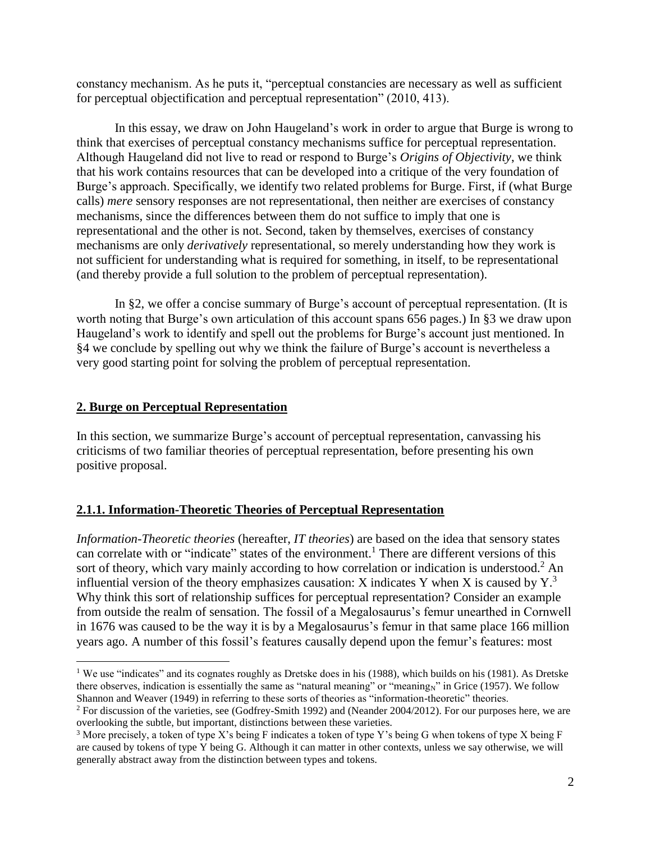constancy mechanism. As he puts it, "perceptual constancies are necessary as well as sufficient for perceptual objectification and perceptual representation" (2010, 413).

In this essay, we draw on John Haugeland's work in order to argue that Burge is wrong to think that exercises of perceptual constancy mechanisms suffice for perceptual representation. Although Haugeland did not live to read or respond to Burge's *Origins of Objectivity*, we think that his work contains resources that can be developed into a critique of the very foundation of Burge's approach. Specifically, we identify two related problems for Burge. First, if (what Burge calls) *mere* sensory responses are not representational, then neither are exercises of constancy mechanisms, since the differences between them do not suffice to imply that one is representational and the other is not. Second, taken by themselves, exercises of constancy mechanisms are only *derivatively* representational, so merely understanding how they work is not sufficient for understanding what is required for something, in itself, to be representational (and thereby provide a full solution to the problem of perceptual representation).

In §2, we offer a concise summary of Burge's account of perceptual representation. (It is worth noting that Burge's own articulation of this account spans 656 pages.) In §3 we draw upon Haugeland's work to identify and spell out the problems for Burge's account just mentioned. In §4 we conclude by spelling out why we think the failure of Burge's account is nevertheless a very good starting point for solving the problem of perceptual representation.

# **2. Burge on Perceptual Representation**

 $\overline{a}$ 

In this section, we summarize Burge's account of perceptual representation, canvassing his criticisms of two familiar theories of perceptual representation, before presenting his own positive proposal.

# **2.1.1. Information-Theoretic Theories of Perceptual Representation**

*Information-Theoretic theories* (hereafter, *IT theories*) are based on the idea that sensory states can correlate with or "indicate" states of the environment.<sup>1</sup> There are different versions of this sort of theory, which vary mainly according to how correlation or indication is understood.<sup>2</sup> An influential version of the theory emphasizes causation: X indicates Y when X is caused by  $Y<sup>3</sup>$ . Why think this sort of relationship suffices for perceptual representation? Consider an example from outside the realm of sensation. The fossil of a Megalosaurus's femur unearthed in Cornwell in 1676 was caused to be the way it is by a Megalosaurus's femur in that same place 166 million years ago. A number of this fossil's features causally depend upon the femur's features: most

<sup>&</sup>lt;sup>1</sup> We use "indicates" and its cognates roughly as Dretske does in his (1988), which builds on his (1981). As Dretske there observes, indication is essentially the same as "natural meaning" or "meaning<sub>N</sub>" in Grice (1957). We follow Shannon and Weaver (1949) in referring to these sorts of theories as "information-theoretic" theories.

<sup>&</sup>lt;sup>2</sup> For discussion of the varieties, see (Godfrey-Smith 1992) and (Neander 2004/2012). For our purposes here, we are overlooking the subtle, but important, distinctions between these varieties.

<sup>3</sup> More precisely, a token of type X's being F indicates a token of type Y's being G when tokens of type X being F are caused by tokens of type Y being G. Although it can matter in other contexts, unless we say otherwise, we will generally abstract away from the distinction between types and tokens.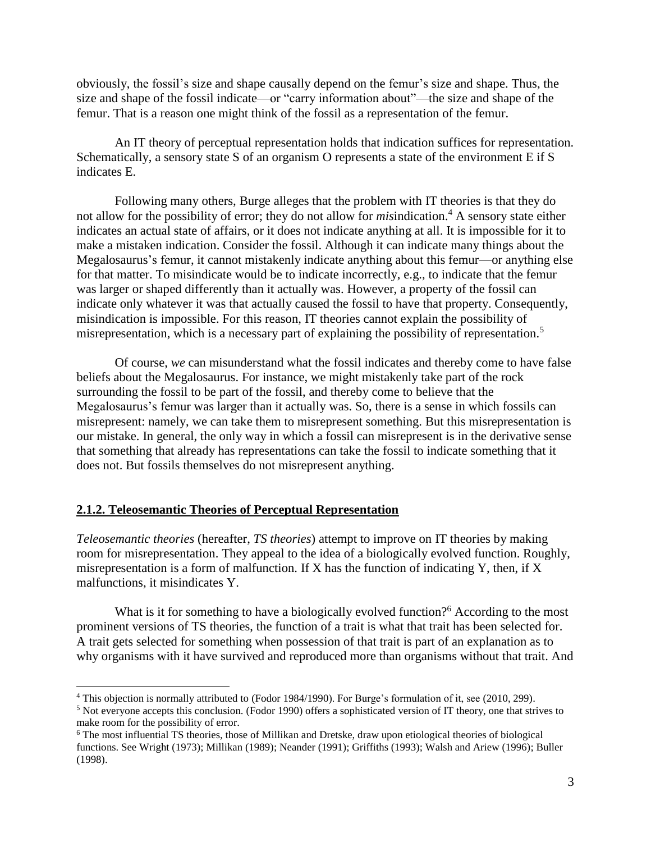obviously, the fossil's size and shape causally depend on the femur's size and shape. Thus, the size and shape of the fossil indicate—or "carry information about"—the size and shape of the femur. That is a reason one might think of the fossil as a representation of the femur.

An IT theory of perceptual representation holds that indication suffices for representation. Schematically, a sensory state S of an organism O represents a state of the environment E if S indicates E.

Following many others, Burge alleges that the problem with IT theories is that they do not allow for the possibility of error; they do not allow for *mis*indication. <sup>4</sup> A sensory state either indicates an actual state of affairs, or it does not indicate anything at all. It is impossible for it to make a mistaken indication. Consider the fossil. Although it can indicate many things about the Megalosaurus's femur, it cannot mistakenly indicate anything about this femur—or anything else for that matter. To misindicate would be to indicate incorrectly, e.g., to indicate that the femur was larger or shaped differently than it actually was. However, a property of the fossil can indicate only whatever it was that actually caused the fossil to have that property. Consequently, misindication is impossible. For this reason, IT theories cannot explain the possibility of misrepresentation, which is a necessary part of explaining the possibility of representation.<sup>5</sup>

Of course, *we* can misunderstand what the fossil indicates and thereby come to have false beliefs about the Megalosaurus. For instance, we might mistakenly take part of the rock surrounding the fossil to be part of the fossil, and thereby come to believe that the Megalosaurus's femur was larger than it actually was. So, there is a sense in which fossils can misrepresent: namely, we can take them to misrepresent something. But this misrepresentation is our mistake. In general, the only way in which a fossil can misrepresent is in the derivative sense that something that already has representations can take the fossil to indicate something that it does not. But fossils themselves do not misrepresent anything.

#### **2.1.2. Teleosemantic Theories of Perceptual Representation**

 $\overline{a}$ 

*Teleosemantic theories* (hereafter, *TS theories*) attempt to improve on IT theories by making room for misrepresentation. They appeal to the idea of a biologically evolved function. Roughly, misrepresentation is a form of malfunction. If X has the function of indicating Y, then, if X malfunctions, it misindicates Y.

What is it for something to have a biologically evolved function?<sup>6</sup> According to the most prominent versions of TS theories, the function of a trait is what that trait has been selected for. A trait gets selected for something when possession of that trait is part of an explanation as to why organisms with it have survived and reproduced more than organisms without that trait. And

<sup>4</sup> This objection is normally attributed to (Fodor 1984/1990). For Burge's formulation of it, see (2010, 299).

<sup>5</sup> Not everyone accepts this conclusion. (Fodor 1990) offers a sophisticated version of IT theory, one that strives to make room for the possibility of error.

<sup>6</sup> The most influential TS theories, those of Millikan and Dretske, draw upon etiological theories of biological functions. See Wright (1973); Millikan (1989); Neander (1991); Griffiths (1993); Walsh and Ariew (1996); Buller (1998).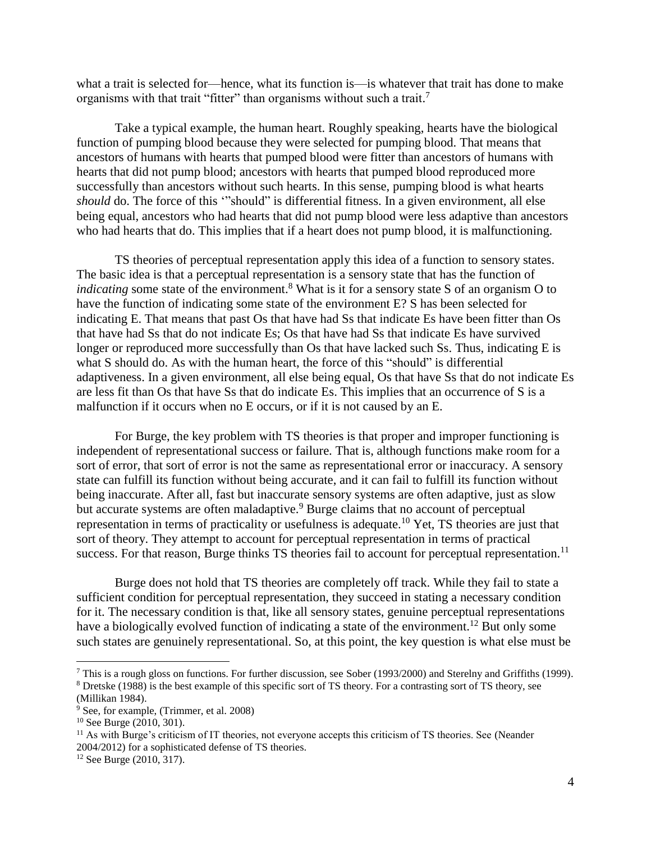what a trait is selected for—hence, what its function is—is whatever that trait has done to make organisms with that trait "fitter" than organisms without such a trait.<sup>7</sup>

Take a typical example, the human heart. Roughly speaking, hearts have the biological function of pumping blood because they were selected for pumping blood. That means that ancestors of humans with hearts that pumped blood were fitter than ancestors of humans with hearts that did not pump blood; ancestors with hearts that pumped blood reproduced more successfully than ancestors without such hearts. In this sense, pumping blood is what hearts *should* do. The force of this '"should" is differential fitness. In a given environment, all else being equal, ancestors who had hearts that did not pump blood were less adaptive than ancestors who had hearts that do. This implies that if a heart does not pump blood, it is malfunctioning.

TS theories of perceptual representation apply this idea of a function to sensory states. The basic idea is that a perceptual representation is a sensory state that has the function of *indicating* some state of the environment. <sup>8</sup> What is it for a sensory state S of an organism O to have the function of indicating some state of the environment E? S has been selected for indicating E. That means that past Os that have had Ss that indicate Es have been fitter than Os that have had Ss that do not indicate Es; Os that have had Ss that indicate Es have survived longer or reproduced more successfully than Os that have lacked such Ss. Thus, indicating E is what S should do. As with the human heart, the force of this "should" is differential adaptiveness. In a given environment, all else being equal, Os that have Ss that do not indicate Es are less fit than Os that have Ss that do indicate Es. This implies that an occurrence of S is a malfunction if it occurs when no E occurs, or if it is not caused by an E.

For Burge, the key problem with TS theories is that proper and improper functioning is independent of representational success or failure. That is, although functions make room for a sort of error, that sort of error is not the same as representational error or inaccuracy. A sensory state can fulfill its function without being accurate, and it can fail to fulfill its function without being inaccurate. After all, fast but inaccurate sensory systems are often adaptive, just as slow but accurate systems are often maladaptive.<sup>9</sup> Burge claims that no account of perceptual representation in terms of practicality or usefulness is adequate.<sup>10</sup> Yet, TS theories are just that sort of theory. They attempt to account for perceptual representation in terms of practical success. For that reason, Burge thinks TS theories fail to account for perceptual representation.<sup>11</sup>

Burge does not hold that TS theories are completely off track. While they fail to state a sufficient condition for perceptual representation, they succeed in stating a necessary condition for it. The necessary condition is that, like all sensory states, genuine perceptual representations have a biologically evolved function of indicating a state of the environment.<sup>12</sup> But only some such states are genuinely representational. So, at this point, the key question is what else must be

 $^7$  This is a rough gloss on functions. For further discussion, see Sober (1993/2000) and Sterelny and Griffiths (1999).

<sup>8</sup> Dretske (1988) is the best example of this specific sort of TS theory. For a contrasting sort of TS theory, see (Millikan 1984).

<sup>9</sup> See, for example, (Trimmer, et al. 2008)

 $10$  See Burge (2010, 301).

<sup>&</sup>lt;sup>11</sup> As with Burge's criticism of IT theories, not everyone accepts this criticism of TS theories. See (Neander 2004/2012) for a sophisticated defense of TS theories.

<sup>12</sup> See Burge (2010, 317).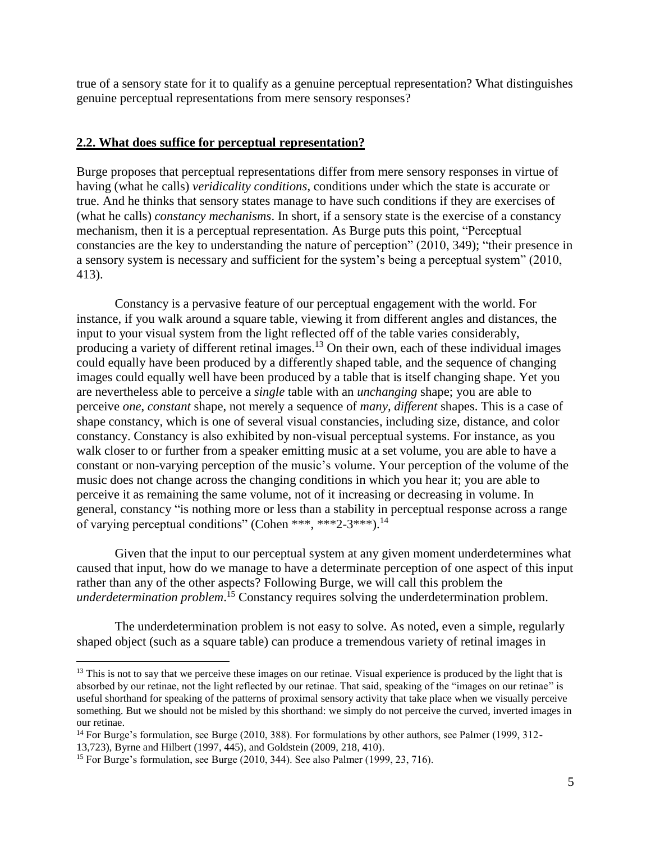true of a sensory state for it to qualify as a genuine perceptual representation? What distinguishes genuine perceptual representations from mere sensory responses?

#### **2.2. What does suffice for perceptual representation?**

Burge proposes that perceptual representations differ from mere sensory responses in virtue of having (what he calls) *veridicality conditions*, conditions under which the state is accurate or true. And he thinks that sensory states manage to have such conditions if they are exercises of (what he calls) *constancy mechanisms*. In short, if a sensory state is the exercise of a constancy mechanism, then it is a perceptual representation. As Burge puts this point, "Perceptual constancies are the key to understanding the nature of perception" (2010, 349); "their presence in a sensory system is necessary and sufficient for the system's being a perceptual system" (2010, 413).

Constancy is a pervasive feature of our perceptual engagement with the world. For instance, if you walk around a square table, viewing it from different angles and distances, the input to your visual system from the light reflected off of the table varies considerably, producing a variety of different retinal images.<sup>13</sup> On their own, each of these individual images could equally have been produced by a differently shaped table, and the sequence of changing images could equally well have been produced by a table that is itself changing shape. Yet you are nevertheless able to perceive a *single* table with an *unchanging* shape; you are able to perceive *one*, *constant* shape, not merely a sequence of *many, different* shapes. This is a case of shape constancy, which is one of several visual constancies, including size, distance, and color constancy. Constancy is also exhibited by non-visual perceptual systems. For instance, as you walk closer to or further from a speaker emitting music at a set volume, you are able to have a constant or non-varying perception of the music's volume. Your perception of the volume of the music does not change across the changing conditions in which you hear it; you are able to perceive it as remaining the same volume, not of it increasing or decreasing in volume. In general, constancy "is nothing more or less than a stability in perceptual response across a range of varying perceptual conditions" (Cohen \*\*\*, \*\*\*2-3\*\*\*).<sup>14</sup>

Given that the input to our perceptual system at any given moment underdetermines what caused that input, how do we manage to have a determinate perception of one aspect of this input rather than any of the other aspects? Following Burge, we will call this problem the *underdetermination problem*. <sup>15</sup> Constancy requires solving the underdetermination problem.

The underdetermination problem is not easy to solve. As noted, even a simple, regularly shaped object (such as a square table) can produce a tremendous variety of retinal images in

 $<sup>13</sup>$  This is not to say that we perceive these images on our retinae. Visual experience is produced by the light that is</sup> absorbed by our retinae, not the light reflected by our retinae. That said, speaking of the "images on our retinae" is useful shorthand for speaking of the patterns of proximal sensory activity that take place when we visually perceive something. But we should not be misled by this shorthand: we simply do not perceive the curved, inverted images in our retinae.

<sup>&</sup>lt;sup>14</sup> For Burge's formulation, see Burge (2010, 388). For formulations by other authors, see Palmer (1999, 312-13,723), Byrne and Hilbert (1997, 445), and Goldstein (2009, 218, 410).

<sup>&</sup>lt;sup>15</sup> For Burge's formulation, see Burge (2010, 344). See also Palmer (1999, 23, 716).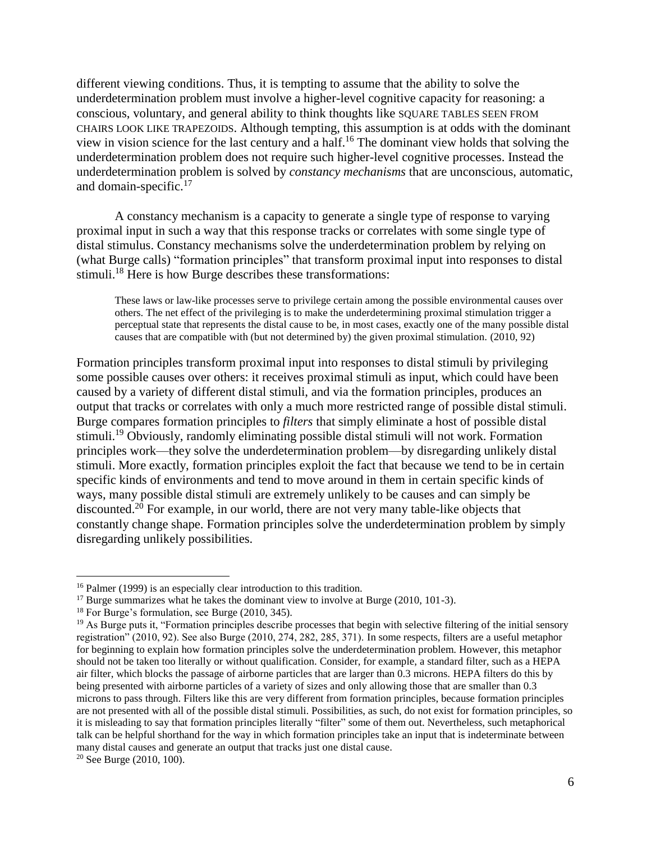different viewing conditions. Thus, it is tempting to assume that the ability to solve the underdetermination problem must involve a higher-level cognitive capacity for reasoning: a conscious, voluntary, and general ability to think thoughts like SQUARE TABLES SEEN FROM CHAIRS LOOK LIKE TRAPEZOIDS. Although tempting, this assumption is at odds with the dominant view in vision science for the last century and a half.<sup>16</sup> The dominant view holds that solving the underdetermination problem does not require such higher-level cognitive processes. Instead the underdetermination problem is solved by *constancy mechanisms* that are unconscious, automatic, and domain-specific.<sup>17</sup>

A constancy mechanism is a capacity to generate a single type of response to varying proximal input in such a way that this response tracks or correlates with some single type of distal stimulus. Constancy mechanisms solve the underdetermination problem by relying on (what Burge calls) "formation principles" that transform proximal input into responses to distal stimuli.<sup>18</sup> Here is how Burge describes these transformations:

These laws or law-like processes serve to privilege certain among the possible environmental causes over others. The net effect of the privileging is to make the underdetermining proximal stimulation trigger a perceptual state that represents the distal cause to be, in most cases, exactly one of the many possible distal causes that are compatible with (but not determined by) the given proximal stimulation. (2010, 92)

Formation principles transform proximal input into responses to distal stimuli by privileging some possible causes over others: it receives proximal stimuli as input, which could have been caused by a variety of different distal stimuli, and via the formation principles, produces an output that tracks or correlates with only a much more restricted range of possible distal stimuli. Burge compares formation principles to *filters* that simply eliminate a host of possible distal stimuli.<sup>19</sup> Obviously, randomly eliminating possible distal stimuli will not work. Formation principles work—they solve the underdetermination problem—by disregarding unlikely distal stimuli. More exactly, formation principles exploit the fact that because we tend to be in certain specific kinds of environments and tend to move around in them in certain specific kinds of ways, many possible distal stimuli are extremely unlikely to be causes and can simply be discounted.<sup>20</sup> For example, in our world, there are not very many table-like objects that constantly change shape. Formation principles solve the underdetermination problem by simply disregarding unlikely possibilities.

<sup>16</sup> Palmer (1999) is an especially clear introduction to this tradition.

<sup>&</sup>lt;sup>17</sup> Burge summarizes what he takes the dominant view to involve at Burge (2010, 101-3).

<sup>18</sup> For Burge's formulation, see Burge (2010, 345).

<sup>&</sup>lt;sup>19</sup> As Burge puts it, "Formation principles describe processes that begin with selective filtering of the initial sensory registration" (2010, 92). See also Burge (2010, 274, 282, 285, 371). In some respects, filters are a useful metaphor for beginning to explain how formation principles solve the underdetermination problem. However, this metaphor should not be taken too literally or without qualification. Consider, for example, a standard filter, such as a HEPA air filter, which blocks the passage of airborne particles that are larger than 0.3 microns. HEPA filters do this by being presented with airborne particles of a variety of sizes and only allowing those that are smaller than 0.3 microns to pass through. Filters like this are very different from formation principles, because formation principles are not presented with all of the possible distal stimuli. Possibilities, as such, do not exist for formation principles, so it is misleading to say that formation principles literally "filter" some of them out. Nevertheless, such metaphorical talk can be helpful shorthand for the way in which formation principles take an input that is indeterminate between many distal causes and generate an output that tracks just one distal cause.

 $20$  See Burge (2010, 100).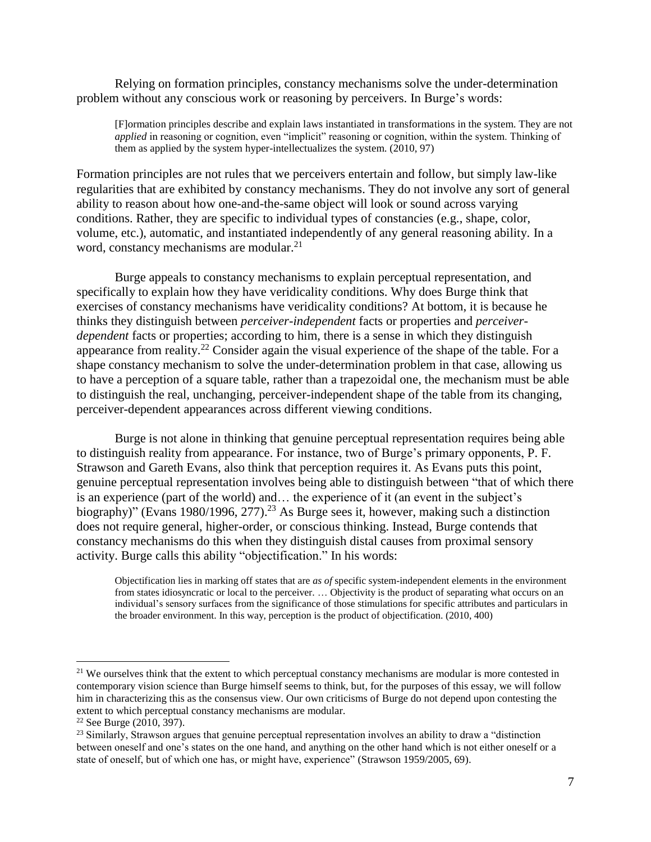Relying on formation principles, constancy mechanisms solve the under-determination problem without any conscious work or reasoning by perceivers. In Burge's words:

[F]ormation principles describe and explain laws instantiated in transformations in the system. They are not *applied* in reasoning or cognition, even "implicit" reasoning or cognition, within the system. Thinking of them as applied by the system hyper-intellectualizes the system. (2010, 97)

Formation principles are not rules that we perceivers entertain and follow, but simply law-like regularities that are exhibited by constancy mechanisms. They do not involve any sort of general ability to reason about how one-and-the-same object will look or sound across varying conditions. Rather, they are specific to individual types of constancies (e.g., shape, color, volume, etc.), automatic, and instantiated independently of any general reasoning ability. In a word, constancy mechanisms are modular.<sup>21</sup>

Burge appeals to constancy mechanisms to explain perceptual representation, and specifically to explain how they have veridicality conditions. Why does Burge think that exercises of constancy mechanisms have veridicality conditions? At bottom, it is because he thinks they distinguish between *perceiver-independent* facts or properties and *perceiverdependent* facts or properties; according to him, there is a sense in which they distinguish appearance from reality.<sup>22</sup> Consider again the visual experience of the shape of the table. For a shape constancy mechanism to solve the under-determination problem in that case, allowing us to have a perception of a square table, rather than a trapezoidal one, the mechanism must be able to distinguish the real, unchanging, perceiver-independent shape of the table from its changing, perceiver-dependent appearances across different viewing conditions.

Burge is not alone in thinking that genuine perceptual representation requires being able to distinguish reality from appearance. For instance, two of Burge's primary opponents, P. F. Strawson and Gareth Evans, also think that perception requires it. As Evans puts this point, genuine perceptual representation involves being able to distinguish between "that of which there is an experience (part of the world) and… the experience of it (an event in the subject's biography)" (Evans 1980/1996, 277).<sup>23</sup> As Burge sees it, however, making such a distinction does not require general, higher-order, or conscious thinking. Instead, Burge contends that constancy mechanisms do this when they distinguish distal causes from proximal sensory activity. Burge calls this ability "objectification." In his words:

Objectification lies in marking off states that are *as of* specific system-independent elements in the environment from states idiosyncratic or local to the perceiver. … Objectivity is the product of separating what occurs on an individual's sensory surfaces from the significance of those stimulations for specific attributes and particulars in the broader environment. In this way, perception is the product of objectification. (2010, 400)

<sup>&</sup>lt;sup>21</sup> We ourselves think that the extent to which perceptual constancy mechanisms are modular is more contested in contemporary vision science than Burge himself seems to think, but, for the purposes of this essay, we will follow him in characterizing this as the consensus view. Our own criticisms of Burge do not depend upon contesting the extent to which perceptual constancy mechanisms are modular.

 $22$  See Burge (2010, 397).

<sup>&</sup>lt;sup>23</sup> Similarly, Strawson argues that genuine perceptual representation involves an ability to draw a "distinction between oneself and one's states on the one hand, and anything on the other hand which is not either oneself or a state of oneself, but of which one has, or might have, experience" (Strawson 1959/2005, 69).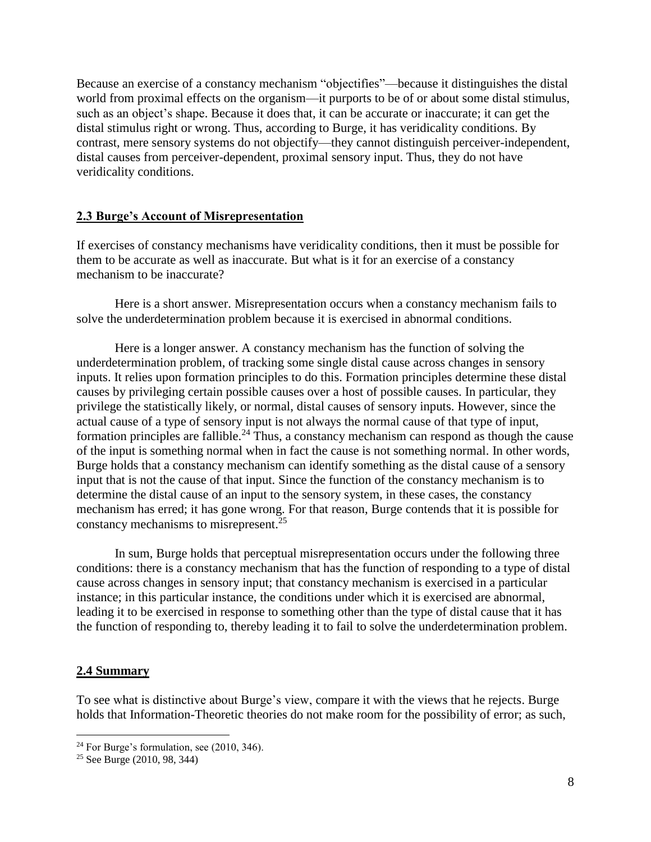Because an exercise of a constancy mechanism "objectifies"—because it distinguishes the distal world from proximal effects on the organism—it purports to be of or about some distal stimulus, such as an object's shape. Because it does that, it can be accurate or inaccurate; it can get the distal stimulus right or wrong. Thus, according to Burge, it has veridicality conditions. By contrast, mere sensory systems do not objectify—they cannot distinguish perceiver-independent, distal causes from perceiver-dependent, proximal sensory input. Thus, they do not have veridicality conditions.

# **2.3 Burge's Account of Misrepresentation**

If exercises of constancy mechanisms have veridicality conditions, then it must be possible for them to be accurate as well as inaccurate. But what is it for an exercise of a constancy mechanism to be inaccurate?

Here is a short answer. Misrepresentation occurs when a constancy mechanism fails to solve the underdetermination problem because it is exercised in abnormal conditions.

Here is a longer answer. A constancy mechanism has the function of solving the underdetermination problem, of tracking some single distal cause across changes in sensory inputs. It relies upon formation principles to do this. Formation principles determine these distal causes by privileging certain possible causes over a host of possible causes. In particular, they privilege the statistically likely, or normal, distal causes of sensory inputs. However, since the actual cause of a type of sensory input is not always the normal cause of that type of input, formation principles are fallible.<sup>24</sup> Thus, a constancy mechanism can respond as though the cause of the input is something normal when in fact the cause is not something normal. In other words, Burge holds that a constancy mechanism can identify something as the distal cause of a sensory input that is not the cause of that input. Since the function of the constancy mechanism is to determine the distal cause of an input to the sensory system, in these cases, the constancy mechanism has erred; it has gone wrong. For that reason, Burge contends that it is possible for constancy mechanisms to misrepresent.<sup>25</sup>

In sum, Burge holds that perceptual misrepresentation occurs under the following three conditions: there is a constancy mechanism that has the function of responding to a type of distal cause across changes in sensory input; that constancy mechanism is exercised in a particular instance; in this particular instance, the conditions under which it is exercised are abnormal, leading it to be exercised in response to something other than the type of distal cause that it has the function of responding to, thereby leading it to fail to solve the underdetermination problem.

# **2.4 Summary**

 $\overline{a}$ 

To see what is distinctive about Burge's view, compare it with the views that he rejects. Burge holds that Information-Theoretic theories do not make room for the possibility of error; as such,

<sup>&</sup>lt;sup>24</sup> For Burge's formulation, see  $(2010, 346)$ .

<sup>25</sup> See Burge (2010, 98, 344)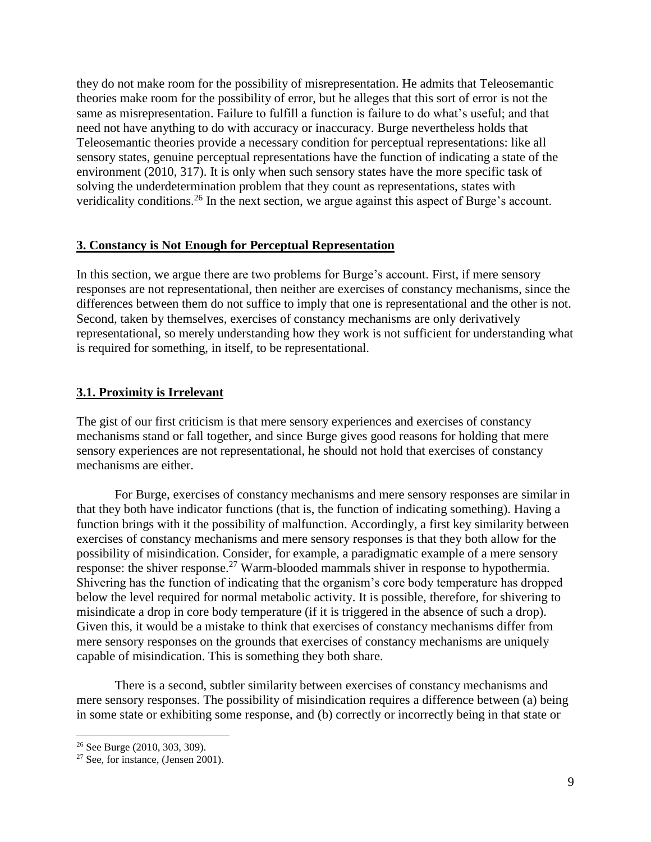they do not make room for the possibility of misrepresentation. He admits that Teleosemantic theories make room for the possibility of error, but he alleges that this sort of error is not the same as misrepresentation. Failure to fulfill a function is failure to do what's useful; and that need not have anything to do with accuracy or inaccuracy. Burge nevertheless holds that Teleosemantic theories provide a necessary condition for perceptual representations: like all sensory states, genuine perceptual representations have the function of indicating a state of the environment (2010, 317). It is only when such sensory states have the more specific task of solving the underdetermination problem that they count as representations, states with veridicality conditions.<sup>26</sup> In the next section, we argue against this aspect of Burge's account.

#### **3. Constancy is Not Enough for Perceptual Representation**

In this section, we argue there are two problems for Burge's account. First, if mere sensory responses are not representational, then neither are exercises of constancy mechanisms, since the differences between them do not suffice to imply that one is representational and the other is not. Second, taken by themselves, exercises of constancy mechanisms are only derivatively representational, so merely understanding how they work is not sufficient for understanding what is required for something, in itself, to be representational.

# **3.1. Proximity is Irrelevant**

The gist of our first criticism is that mere sensory experiences and exercises of constancy mechanisms stand or fall together, and since Burge gives good reasons for holding that mere sensory experiences are not representational, he should not hold that exercises of constancy mechanisms are either.

For Burge, exercises of constancy mechanisms and mere sensory responses are similar in that they both have indicator functions (that is, the function of indicating something). Having a function brings with it the possibility of malfunction. Accordingly, a first key similarity between exercises of constancy mechanisms and mere sensory responses is that they both allow for the possibility of misindication. Consider, for example, a paradigmatic example of a mere sensory response: the shiver response.<sup>27</sup> Warm-blooded mammals shiver in response to hypothermia. Shivering has the function of indicating that the organism's core body temperature has dropped below the level required for normal metabolic activity. It is possible, therefore, for shivering to misindicate a drop in core body temperature (if it is triggered in the absence of such a drop). Given this, it would be a mistake to think that exercises of constancy mechanisms differ from mere sensory responses on the grounds that exercises of constancy mechanisms are uniquely capable of misindication. This is something they both share.

There is a second, subtler similarity between exercises of constancy mechanisms and mere sensory responses. The possibility of misindication requires a difference between (a) being in some state or exhibiting some response, and (b) correctly or incorrectly being in that state or

<sup>26</sup> See Burge (2010, 303, 309).

 $27$  See, for instance, (Jensen 2001).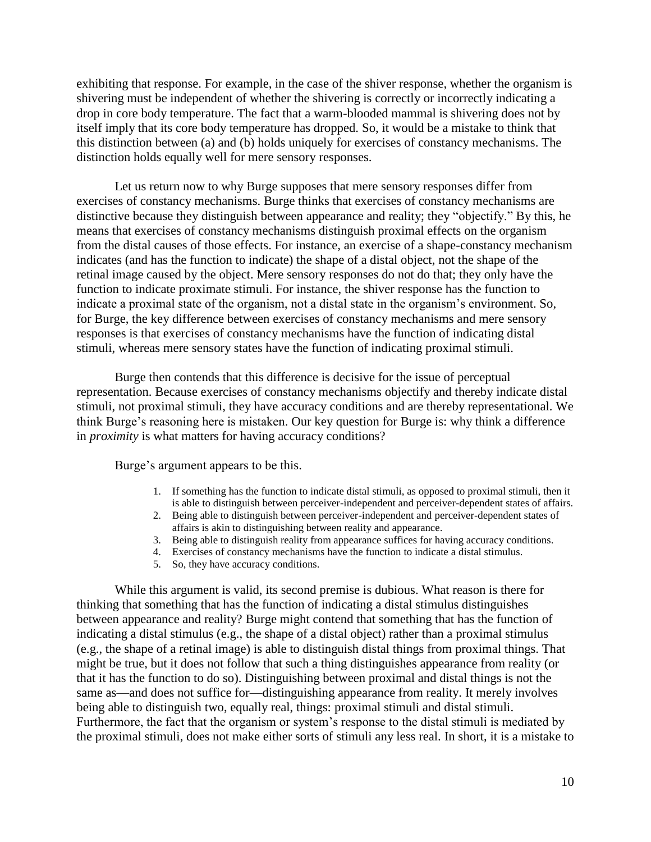exhibiting that response. For example, in the case of the shiver response, whether the organism is shivering must be independent of whether the shivering is correctly or incorrectly indicating a drop in core body temperature. The fact that a warm-blooded mammal is shivering does not by itself imply that its core body temperature has dropped. So, it would be a mistake to think that this distinction between (a) and (b) holds uniquely for exercises of constancy mechanisms. The distinction holds equally well for mere sensory responses.

Let us return now to why Burge supposes that mere sensory responses differ from exercises of constancy mechanisms. Burge thinks that exercises of constancy mechanisms are distinctive because they distinguish between appearance and reality; they "objectify." By this, he means that exercises of constancy mechanisms distinguish proximal effects on the organism from the distal causes of those effects. For instance, an exercise of a shape-constancy mechanism indicates (and has the function to indicate) the shape of a distal object, not the shape of the retinal image caused by the object. Mere sensory responses do not do that; they only have the function to indicate proximate stimuli. For instance, the shiver response has the function to indicate a proximal state of the organism, not a distal state in the organism's environment. So, for Burge, the key difference between exercises of constancy mechanisms and mere sensory responses is that exercises of constancy mechanisms have the function of indicating distal stimuli, whereas mere sensory states have the function of indicating proximal stimuli.

Burge then contends that this difference is decisive for the issue of perceptual representation. Because exercises of constancy mechanisms objectify and thereby indicate distal stimuli, not proximal stimuli, they have accuracy conditions and are thereby representational. We think Burge's reasoning here is mistaken. Our key question for Burge is: why think a difference in *proximity* is what matters for having accuracy conditions?

Burge's argument appears to be this.

- 1. If something has the function to indicate distal stimuli, as opposed to proximal stimuli, then it is able to distinguish between perceiver-independent and perceiver-dependent states of affairs.
- 2. Being able to distinguish between perceiver-independent and perceiver-dependent states of affairs is akin to distinguishing between reality and appearance.
- 3. Being able to distinguish reality from appearance suffices for having accuracy conditions.
- 4. Exercises of constancy mechanisms have the function to indicate a distal stimulus.
- 5. So, they have accuracy conditions.

While this argument is valid, its second premise is dubious. What reason is there for thinking that something that has the function of indicating a distal stimulus distinguishes between appearance and reality? Burge might contend that something that has the function of indicating a distal stimulus (e.g., the shape of a distal object) rather than a proximal stimulus (e.g., the shape of a retinal image) is able to distinguish distal things from proximal things. That might be true, but it does not follow that such a thing distinguishes appearance from reality (or that it has the function to do so). Distinguishing between proximal and distal things is not the same as—and does not suffice for—distinguishing appearance from reality. It merely involves being able to distinguish two, equally real, things: proximal stimuli and distal stimuli. Furthermore, the fact that the organism or system's response to the distal stimuli is mediated by the proximal stimuli, does not make either sorts of stimuli any less real. In short, it is a mistake to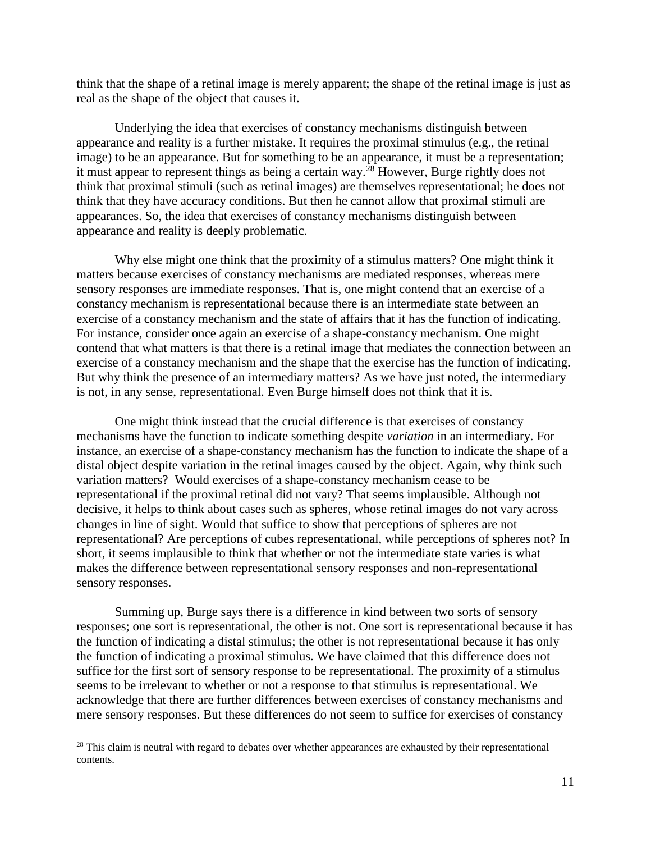think that the shape of a retinal image is merely apparent; the shape of the retinal image is just as real as the shape of the object that causes it.

Underlying the idea that exercises of constancy mechanisms distinguish between appearance and reality is a further mistake. It requires the proximal stimulus (e.g., the retinal image) to be an appearance. But for something to be an appearance, it must be a representation; it must appear to represent things as being a certain way.<sup>28</sup> However, Burge rightly does not think that proximal stimuli (such as retinal images) are themselves representational; he does not think that they have accuracy conditions. But then he cannot allow that proximal stimuli are appearances. So, the idea that exercises of constancy mechanisms distinguish between appearance and reality is deeply problematic.

Why else might one think that the proximity of a stimulus matters? One might think it matters because exercises of constancy mechanisms are mediated responses, whereas mere sensory responses are immediate responses. That is, one might contend that an exercise of a constancy mechanism is representational because there is an intermediate state between an exercise of a constancy mechanism and the state of affairs that it has the function of indicating. For instance, consider once again an exercise of a shape-constancy mechanism. One might contend that what matters is that there is a retinal image that mediates the connection between an exercise of a constancy mechanism and the shape that the exercise has the function of indicating. But why think the presence of an intermediary matters? As we have just noted, the intermediary is not, in any sense, representational. Even Burge himself does not think that it is.

One might think instead that the crucial difference is that exercises of constancy mechanisms have the function to indicate something despite *variation* in an intermediary. For instance, an exercise of a shape-constancy mechanism has the function to indicate the shape of a distal object despite variation in the retinal images caused by the object. Again, why think such variation matters? Would exercises of a shape-constancy mechanism cease to be representational if the proximal retinal did not vary? That seems implausible. Although not decisive, it helps to think about cases such as spheres, whose retinal images do not vary across changes in line of sight. Would that suffice to show that perceptions of spheres are not representational? Are perceptions of cubes representational, while perceptions of spheres not? In short, it seems implausible to think that whether or not the intermediate state varies is what makes the difference between representational sensory responses and non-representational sensory responses.

Summing up, Burge says there is a difference in kind between two sorts of sensory responses; one sort is representational, the other is not. One sort is representational because it has the function of indicating a distal stimulus; the other is not representational because it has only the function of indicating a proximal stimulus. We have claimed that this difference does not suffice for the first sort of sensory response to be representational. The proximity of a stimulus seems to be irrelevant to whether or not a response to that stimulus is representational. We acknowledge that there are further differences between exercises of constancy mechanisms and mere sensory responses. But these differences do not seem to suffice for exercises of constancy

 $28$  This claim is neutral with regard to debates over whether appearances are exhausted by their representational contents.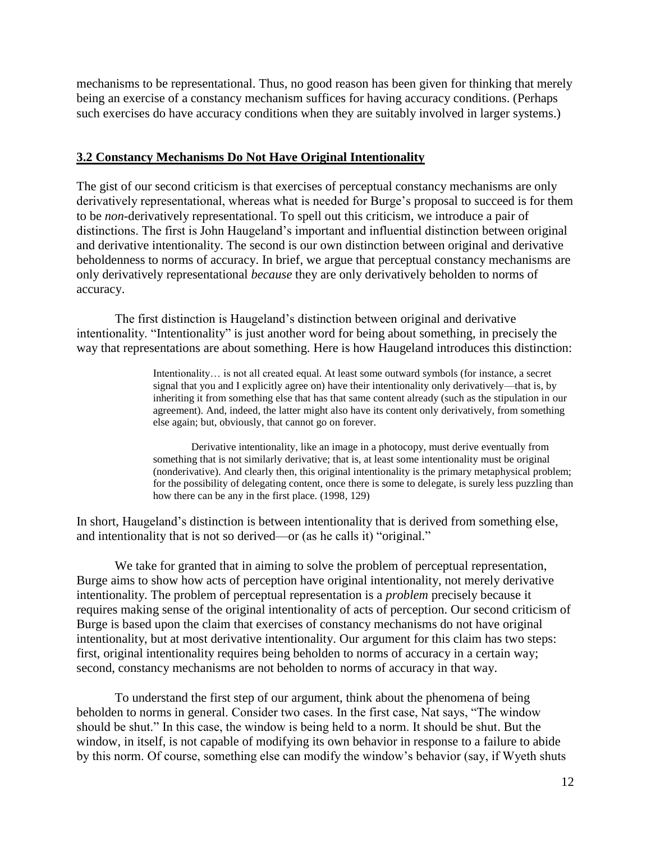mechanisms to be representational. Thus, no good reason has been given for thinking that merely being an exercise of a constancy mechanism suffices for having accuracy conditions. (Perhaps such exercises do have accuracy conditions when they are suitably involved in larger systems.)

#### **3.2 Constancy Mechanisms Do Not Have Original Intentionality**

The gist of our second criticism is that exercises of perceptual constancy mechanisms are only derivatively representational, whereas what is needed for Burge's proposal to succeed is for them to be *non*-derivatively representational. To spell out this criticism, we introduce a pair of distinctions. The first is John Haugeland's important and influential distinction between original and derivative intentionality. The second is our own distinction between original and derivative beholdenness to norms of accuracy. In brief, we argue that perceptual constancy mechanisms are only derivatively representational *because* they are only derivatively beholden to norms of accuracy.

The first distinction is Haugeland's distinction between original and derivative intentionality. "Intentionality" is just another word for being about something, in precisely the way that representations are about something. Here is how Haugeland introduces this distinction:

> Intentionality… is not all created equal. At least some outward symbols (for instance, a secret signal that you and I explicitly agree on) have their intentionality only derivatively—that is, by inheriting it from something else that has that same content already (such as the stipulation in our agreement). And, indeed, the latter might also have its content only derivatively, from something else again; but, obviously, that cannot go on forever.

Derivative intentionality, like an image in a photocopy, must derive eventually from something that is not similarly derivative; that is, at least some intentionality must be original (nonderivative). And clearly then, this original intentionality is the primary metaphysical problem; for the possibility of delegating content, once there is some to delegate, is surely less puzzling than how there can be any in the first place. (1998, 129)

In short, Haugeland's distinction is between intentionality that is derived from something else, and intentionality that is not so derived—or (as he calls it) "original."

We take for granted that in aiming to solve the problem of perceptual representation, Burge aims to show how acts of perception have original intentionality, not merely derivative intentionality. The problem of perceptual representation is a *problem* precisely because it requires making sense of the original intentionality of acts of perception. Our second criticism of Burge is based upon the claim that exercises of constancy mechanisms do not have original intentionality, but at most derivative intentionality. Our argument for this claim has two steps: first, original intentionality requires being beholden to norms of accuracy in a certain way; second, constancy mechanisms are not beholden to norms of accuracy in that way.

To understand the first step of our argument, think about the phenomena of being beholden to norms in general. Consider two cases. In the first case, Nat says, "The window should be shut." In this case, the window is being held to a norm. It should be shut. But the window, in itself, is not capable of modifying its own behavior in response to a failure to abide by this norm. Of course, something else can modify the window's behavior (say, if Wyeth shuts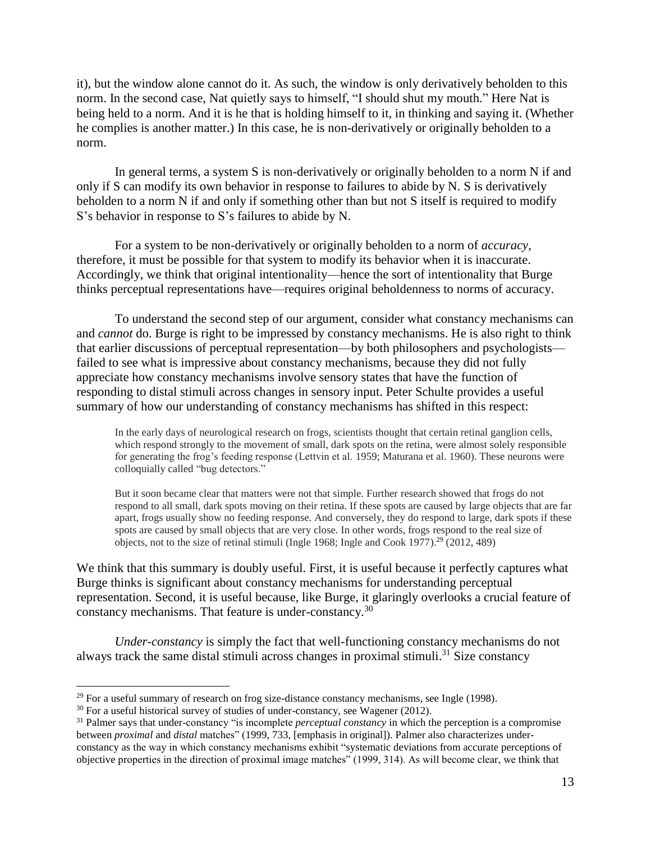it), but the window alone cannot do it. As such, the window is only derivatively beholden to this norm. In the second case, Nat quietly says to himself, "I should shut my mouth." Here Nat is being held to a norm. And it is he that is holding himself to it, in thinking and saying it. (Whether he complies is another matter.) In this case, he is non-derivatively or originally beholden to a norm.

In general terms, a system S is non-derivatively or originally beholden to a norm N if and only if S can modify its own behavior in response to failures to abide by N. S is derivatively beholden to a norm N if and only if something other than but not S itself is required to modify S's behavior in response to S's failures to abide by N.

For a system to be non-derivatively or originally beholden to a norm of *accuracy*, therefore, it must be possible for that system to modify its behavior when it is inaccurate. Accordingly, we think that original intentionality—hence the sort of intentionality that Burge thinks perceptual representations have—requires original beholdenness to norms of accuracy.

To understand the second step of our argument, consider what constancy mechanisms can and *cannot* do. Burge is right to be impressed by constancy mechanisms. He is also right to think that earlier discussions of perceptual representation—by both philosophers and psychologists failed to see what is impressive about constancy mechanisms, because they did not fully appreciate how constancy mechanisms involve sensory states that have the function of responding to distal stimuli across changes in sensory input. Peter Schulte provides a useful summary of how our understanding of constancy mechanisms has shifted in this respect:

In the early days of neurological research on frogs, scientists thought that certain retinal ganglion cells, which respond strongly to the movement of small, dark spots on the retina, were almost solely responsible for generating the frog's feeding response (Lettvin et al. 1959; Maturana et al. 1960). These neurons were colloquially called "bug detectors."

But it soon became clear that matters were not that simple. Further research showed that frogs do not respond to all small, dark spots moving on their retina. If these spots are caused by large objects that are far apart, frogs usually show no feeding response. And conversely, they do respond to large, dark spots if these spots are caused by small objects that are very close. In other words, frogs respond to the real size of objects, not to the size of retinal stimuli (Ingle 1968; Ingle and Cook 1977).<sup>29</sup> (2012, 489)

We think that this summary is doubly useful. First, it is useful because it perfectly captures what Burge thinks is significant about constancy mechanisms for understanding perceptual representation. Second, it is useful because, like Burge, it glaringly overlooks a crucial feature of constancy mechanisms. That feature is under-constancy.<sup>30</sup>

*Under-constancy* is simply the fact that well-functioning constancy mechanisms do not always track the same distal stimuli across changes in proximal stimuli. <sup>31</sup> Size constancy

 $29$  For a useful summary of research on frog size-distance constancy mechanisms, see Ingle (1998).

<sup>30</sup> For a useful historical survey of studies of under-constancy, see Wagener (2012).

<sup>31</sup> Palmer says that under-constancy "is incomplete *perceptual constancy* in which the perception is a compromise between *proximal* and *distal* matches" (1999, 733, [emphasis in original]). Palmer also characterizes underconstancy as the way in which constancy mechanisms exhibit "systematic deviations from accurate perceptions of objective properties in the direction of proximal image matches" (1999, 314). As will become clear, we think that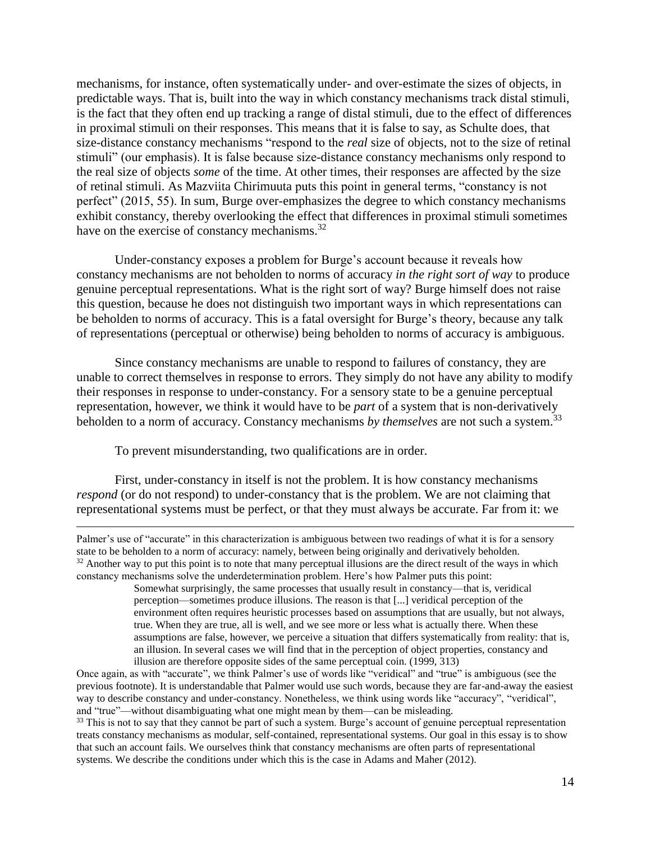mechanisms, for instance, often systematically under- and over-estimate the sizes of objects, in predictable ways. That is, built into the way in which constancy mechanisms track distal stimuli, is the fact that they often end up tracking a range of distal stimuli, due to the effect of differences in proximal stimuli on their responses. This means that it is false to say, as Schulte does, that size-distance constancy mechanisms "respond to the *real* size of objects, not to the size of retinal stimuli" (our emphasis). It is false because size-distance constancy mechanisms only respond to the real size of objects *some* of the time. At other times, their responses are affected by the size of retinal stimuli. As Mazviita Chirimuuta puts this point in general terms, "constancy is not perfect" (2015, 55). In sum, Burge over-emphasizes the degree to which constancy mechanisms exhibit constancy, thereby overlooking the effect that differences in proximal stimuli sometimes have on the exercise of constancy mechanisms.<sup>32</sup>

Under-constancy exposes a problem for Burge's account because it reveals how constancy mechanisms are not beholden to norms of accuracy *in the right sort of way* to produce genuine perceptual representations. What is the right sort of way? Burge himself does not raise this question, because he does not distinguish two important ways in which representations can be beholden to norms of accuracy. This is a fatal oversight for Burge's theory, because any talk of representations (perceptual or otherwise) being beholden to norms of accuracy is ambiguous.

Since constancy mechanisms are unable to respond to failures of constancy, they are unable to correct themselves in response to errors. They simply do not have any ability to modify their responses in response to under-constancy. For a sensory state to be a genuine perceptual representation, however, we think it would have to be *part* of a system that is non-derivatively beholden to a norm of accuracy. Constancy mechanisms by themselves are not such a system.<sup>33</sup>

To prevent misunderstanding, two qualifications are in order.

 $\overline{a}$ 

First, under-constancy in itself is not the problem. It is how constancy mechanisms *respond* (or do not respond) to under-constancy that is the problem. We are not claiming that representational systems must be perfect, or that they must always be accurate. Far from it: we

Palmer's use of "accurate" in this characterization is ambiguous between two readings of what it is for a sensory state to be beholden to a norm of accuracy: namely, between being originally and derivatively beholden.  $32$  Another way to put this point is to note that many perceptual illusions are the direct result of the ways in which constancy mechanisms solve the underdetermination problem. Here's how Palmer puts this point:

> Somewhat surprisingly, the same processes that usually result in constancy—that is, veridical perception—sometimes produce illusions. The reason is that [...] veridical perception of the environment often requires heuristic processes based on assumptions that are usually, but not always, true. When they are true, all is well, and we see more or less what is actually there. When these assumptions are false, however, we perceive a situation that differs systematically from reality: that is, an illusion. In several cases we will find that in the perception of object properties, constancy and illusion are therefore opposite sides of the same perceptual coin. (1999, 313)

Once again, as with "accurate", we think Palmer's use of words like "veridical" and "true" is ambiguous (see the previous footnote). It is understandable that Palmer would use such words, because they are far-and-away the easiest way to describe constancy and under-constancy. Nonetheless, we think using words like "accuracy", "veridical", and "true"—without disambiguating what one might mean by them—can be misleading.

<sup>33</sup> This is not to say that they cannot be part of such a system. Burge's account of genuine perceptual representation treats constancy mechanisms as modular, self-contained, representational systems. Our goal in this essay is to show that such an account fails. We ourselves think that constancy mechanisms are often parts of representational systems. We describe the conditions under which this is the case in Adams and Maher (2012).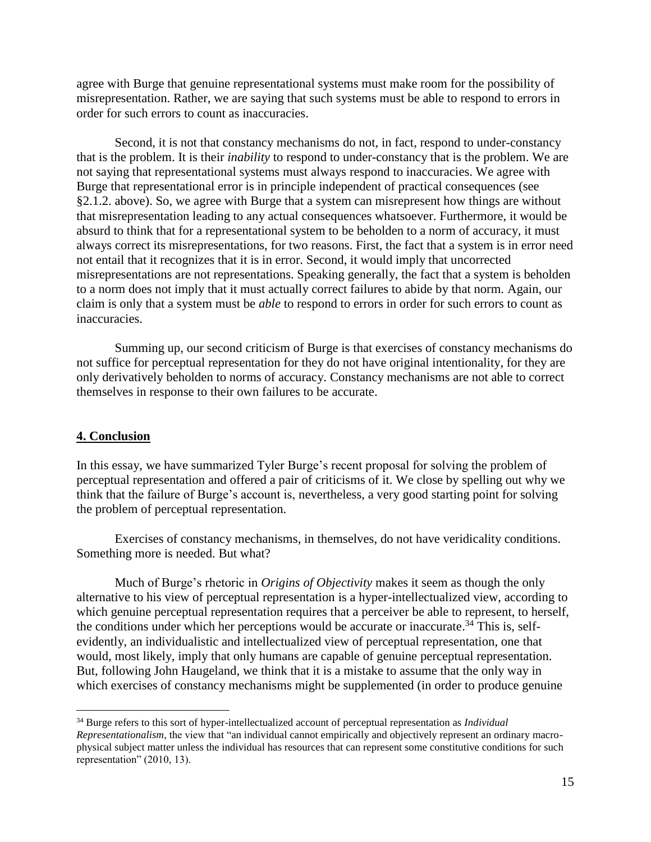agree with Burge that genuine representational systems must make room for the possibility of misrepresentation. Rather, we are saying that such systems must be able to respond to errors in order for such errors to count as inaccuracies.

Second, it is not that constancy mechanisms do not, in fact, respond to under-constancy that is the problem. It is their *inability* to respond to under-constancy that is the problem. We are not saying that representational systems must always respond to inaccuracies. We agree with Burge that representational error is in principle independent of practical consequences (see §2.1.2. above). So, we agree with Burge that a system can misrepresent how things are without that misrepresentation leading to any actual consequences whatsoever. Furthermore, it would be absurd to think that for a representational system to be beholden to a norm of accuracy, it must always correct its misrepresentations, for two reasons. First, the fact that a system is in error need not entail that it recognizes that it is in error. Second, it would imply that uncorrected misrepresentations are not representations. Speaking generally, the fact that a system is beholden to a norm does not imply that it must actually correct failures to abide by that norm. Again, our claim is only that a system must be *able* to respond to errors in order for such errors to count as inaccuracies.

Summing up, our second criticism of Burge is that exercises of constancy mechanisms do not suffice for perceptual representation for they do not have original intentionality, for they are only derivatively beholden to norms of accuracy. Constancy mechanisms are not able to correct themselves in response to their own failures to be accurate.

#### **4. Conclusion**

 $\overline{a}$ 

In this essay, we have summarized Tyler Burge's recent proposal for solving the problem of perceptual representation and offered a pair of criticisms of it. We close by spelling out why we think that the failure of Burge's account is, nevertheless, a very good starting point for solving the problem of perceptual representation.

Exercises of constancy mechanisms, in themselves, do not have veridicality conditions. Something more is needed. But what?

Much of Burge's rhetoric in *Origins of Objectivity* makes it seem as though the only alternative to his view of perceptual representation is a hyper-intellectualized view, according to which genuine perceptual representation requires that a perceiver be able to represent, to herself, the conditions under which her perceptions would be accurate or inaccurate.<sup>34</sup> This is, selfevidently, an individualistic and intellectualized view of perceptual representation, one that would, most likely, imply that only humans are capable of genuine perceptual representation. But, following John Haugeland, we think that it is a mistake to assume that the only way in which exercises of constancy mechanisms might be supplemented (in order to produce genuine

<sup>34</sup> Burge refers to this sort of hyper-intellectualized account of perceptual representation as *Individual Representationalism*, the view that "an individual cannot empirically and objectively represent an ordinary macrophysical subject matter unless the individual has resources that can represent some constitutive conditions for such representation" (2010, 13).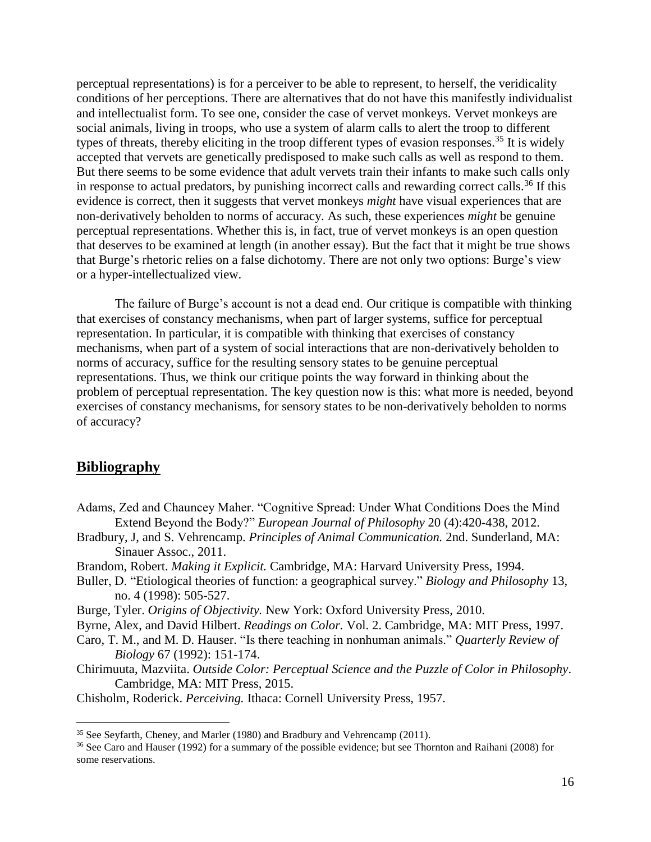perceptual representations) is for a perceiver to be able to represent, to herself, the veridicality conditions of her perceptions. There are alternatives that do not have this manifestly individualist and intellectualist form. To see one, consider the case of vervet monkeys. Vervet monkeys are social animals, living in troops, who use a system of alarm calls to alert the troop to different types of threats, thereby eliciting in the troop different types of evasion responses.<sup>35</sup> It is widely accepted that vervets are genetically predisposed to make such calls as well as respond to them. But there seems to be some evidence that adult vervets train their infants to make such calls only in response to actual predators, by punishing incorrect calls and rewarding correct calls.<sup>36</sup> If this evidence is correct, then it suggests that vervet monkeys *might* have visual experiences that are non-derivatively beholden to norms of accuracy. As such, these experiences *might* be genuine perceptual representations. Whether this is, in fact, true of vervet monkeys is an open question that deserves to be examined at length (in another essay). But the fact that it might be true shows that Burge's rhetoric relies on a false dichotomy. There are not only two options: Burge's view or a hyper-intellectualized view.

The failure of Burge's account is not a dead end. Our critique is compatible with thinking that exercises of constancy mechanisms, when part of larger systems, suffice for perceptual representation. In particular, it is compatible with thinking that exercises of constancy mechanisms, when part of a system of social interactions that are non-derivatively beholden to norms of accuracy, suffice for the resulting sensory states to be genuine perceptual representations. Thus, we think our critique points the way forward in thinking about the problem of perceptual representation. The key question now is this: what more is needed, beyond exercises of constancy mechanisms, for sensory states to be non-derivatively beholden to norms of accuracy?

# **Bibliography**

 $\overline{a}$ 

- Adams, Zed and Chauncey Maher. "Cognitive Spread: Under What Conditions Does the Mind Extend Beyond the Body?" *European Journal of Philosophy* 20 (4):420-438, 2012.
- Bradbury, J, and S. Vehrencamp. *Principles of Animal Communication.* 2nd. Sunderland, MA: Sinauer Assoc., 2011.
- Brandom, Robert. *Making it Explicit.* Cambridge, MA: Harvard University Press, 1994.
- Buller, D. "Etiological theories of function: a geographical survey." *Biology and Philosophy* 13, no. 4 (1998): 505-527.
- Burge, Tyler. *Origins of Objectivity.* New York: Oxford University Press, 2010.
- Byrne, Alex, and David Hilbert. *Readings on Color.* Vol. 2. Cambridge, MA: MIT Press, 1997.
- Caro, T. M., and M. D. Hauser. "Is there teaching in nonhuman animals." *Quarterly Review of Biology* 67 (1992): 151-174.
- Chirimuuta, Mazviita. *Outside Color: Perceptual Science and the Puzzle of Color in Philosophy*. Cambridge, MA: MIT Press, 2015.

Chisholm, Roderick. *Perceiving.* Ithaca: Cornell University Press, 1957.

<sup>35</sup> See Seyfarth, Cheney, and Marler (1980) and Bradbury and Vehrencamp (2011).

<sup>36</sup> See Caro and Hauser (1992) for a summary of the possible evidence; but see Thornton and Raihani (2008) for some reservations.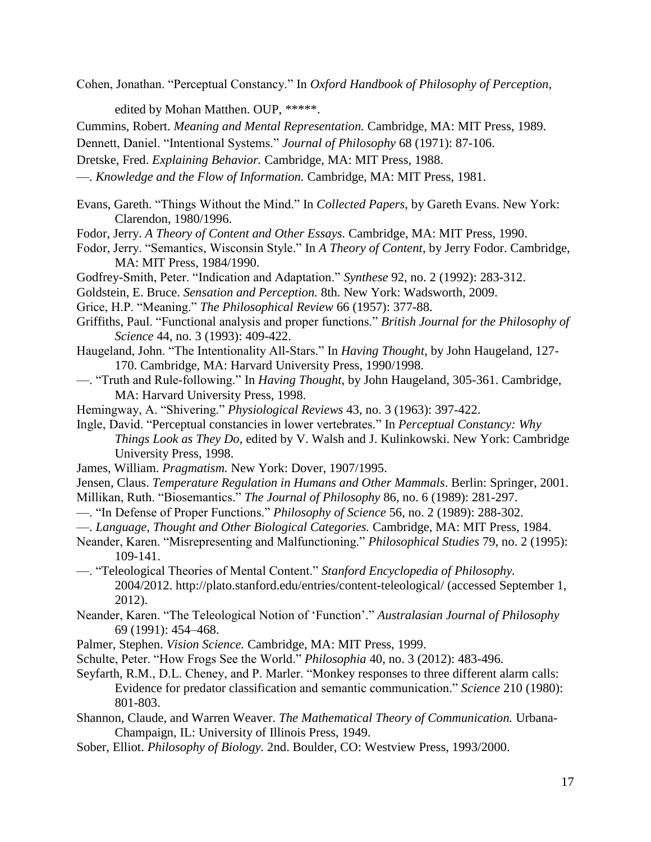Cohen, Jonathan. "Perceptual Constancy." In *Oxford Handbook of Philosophy of Perception*,

edited by Mohan Matthen. OUP, \*\*\*\*\*.

Cummins, Robert. *Meaning and Mental Representation.* Cambridge, MA: MIT Press, 1989.

Dennett, Daniel. "Intentional Systems." *Journal of Philosophy* 68 (1971): 87-106.

Dretske, Fred. *Explaining Behavior.* Cambridge, MA: MIT Press, 1988.

—. *Knowledge and the Flow of Information.* Cambridge, MA: MIT Press, 1981.

Evans, Gareth. "Things Without the Mind." In *Collected Papers*, by Gareth Evans. New York: Clarendon, 1980/1996.

Fodor, Jerry. *A Theory of Content and Other Essays.* Cambridge, MA: MIT Press, 1990.

- Fodor, Jerry. "Semantics, Wisconsin Style." In *A Theory of Content*, by Jerry Fodor. Cambridge, MA: MIT Press, 1984/1990.
- Godfrey-Smith, Peter. "Indication and Adaptation." *Synthese* 92, no. 2 (1992): 283-312.
- Goldstein, E. Bruce. *Sensation and Perception.* 8th. New York: Wadsworth, 2009.

Grice, H.P. "Meaning." *The Philosophical Review* 66 (1957): 377-88.

- Griffiths, Paul. "Functional analysis and proper functions." *British Journal for the Philosophy of Science* 44, no. 3 (1993): 409-422.
- Haugeland, John. "The Intentionality All-Stars." In *Having Thought*, by John Haugeland, 127- 170. Cambridge, MA: Harvard University Press, 1990/1998.
- —. "Truth and Rule-following." In *Having Thought*, by John Haugeland, 305-361. Cambridge, MA: Harvard University Press, 1998.
- Hemingway, A. "Shivering." *Physiological Reviews* 43, no. 3 (1963): 397-422.
- Ingle, David. "Perceptual constancies in lower vertebrates." In *Perceptual Constancy: Why Things Look as They Do*, edited by V. Walsh and J. Kulinkowski. New York: Cambridge University Press, 1998.
- James, William. *Pragmatism.* New York: Dover, 1907/1995.
- Jensen, Claus. *Temperature Regulation in Humans and Other Mammals*. Berlin: Springer, 2001. Millikan, Ruth. "Biosemantics." *The Journal of Philosophy* 86, no. 6 (1989): 281-297.
- —. "In Defense of Proper Functions." *Philosophy of Science* 56, no. 2 (1989): 288-302.
- —. *Language, Thought and Other Biological Categories.* Cambridge, MA: MIT Press, 1984.
- Neander, Karen. "Misrepresenting and Malfunctioning." *Philosophical Studies* 79, no. 2 (1995): 109-141.
- —. "Teleological Theories of Mental Content." *Stanford Encyclopedia of Philosophy.* 2004/2012. http://plato.stanford.edu/entries/content-teleological/ (accessed September 1, 2012).
- Neander, Karen. "The Teleological Notion of 'Function'." *Australasian Journal of Philosophy* 69 (1991): 454–468.
- Palmer, Stephen. *Vision Science.* Cambridge, MA: MIT Press, 1999.
- Schulte, Peter. "How Frogs See the World." *Philosophia* 40, no. 3 (2012): 483-496.
- Seyfarth, R.M., D.L. Cheney, and P. Marler. "Monkey responses to three different alarm calls: Evidence for predator classification and semantic communication." *Science* 210 (1980): 801-803.
- Shannon, Claude, and Warren Weaver. *The Mathematical Theory of Communication.* Urbana-Champaign, IL: University of Illinois Press, 1949.
- Sober, Elliot. *Philosophy of Biology.* 2nd. Boulder, CO: Westview Press, 1993/2000.